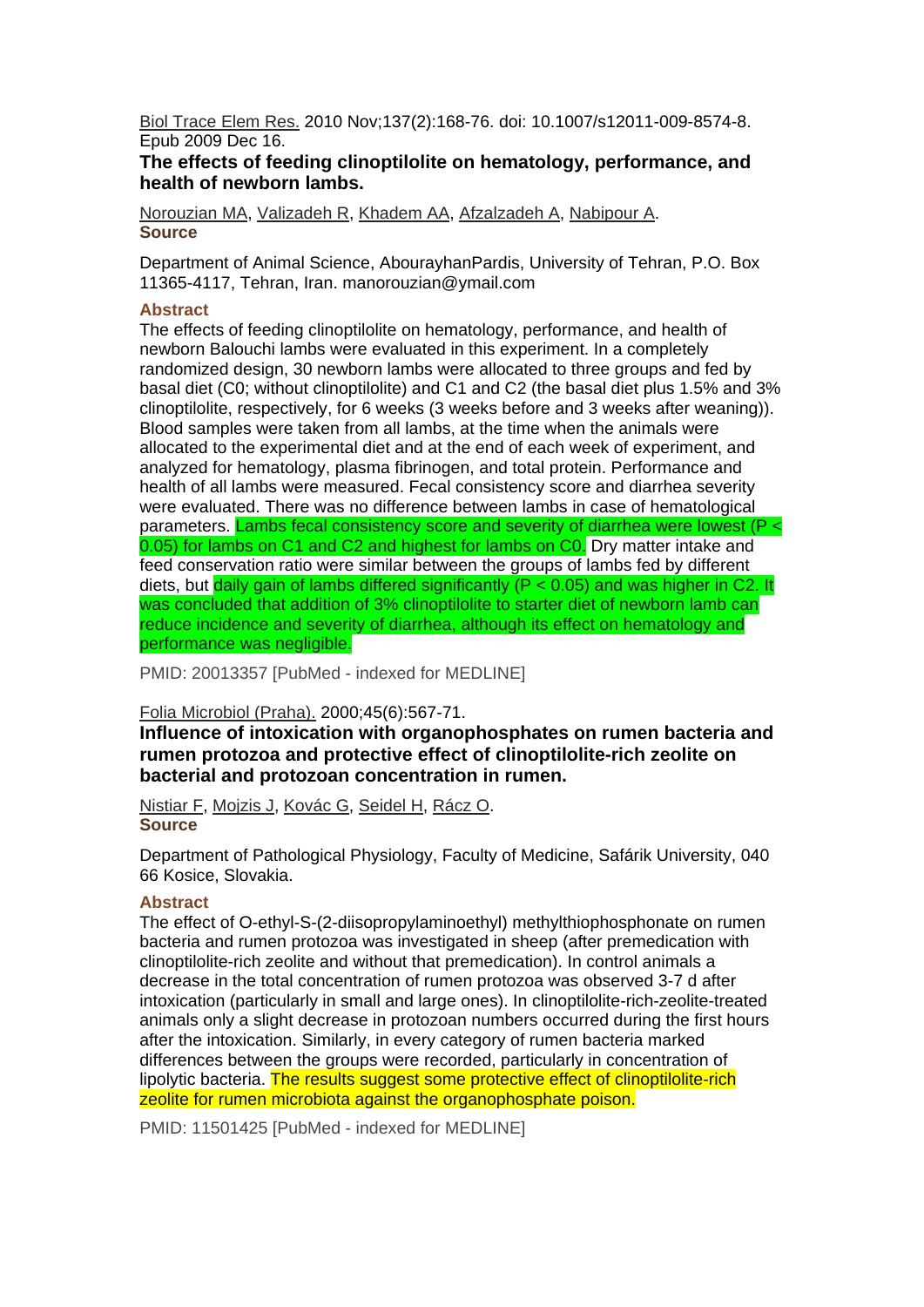Biol Trace Elem Res. 2010 Nov;137(2):168-76. doi: 10.1007/s12011-009-8574-8. Epub 2009 Dec 16.

## **The effects of feeding clinoptilolite on hematology, performance, and health of newborn lambs.**

Norouzian MA, Valizadeh R, Khadem AA, Afzalzadeh A, Nabipour A. **Source** 

Department of Animal Science, AbourayhanPardis, University of Tehran, P.O. Box 11365-4117, Tehran, Iran. manorouzian@ymail.com

#### **Abstract**

The effects of feeding clinoptilolite on hematology, performance, and health of newborn Balouchi lambs were evaluated in this experiment. In a completely randomized design, 30 newborn lambs were allocated to three groups and fed by basal diet (C0; without clinoptilolite) and C1 and C2 (the basal diet plus 1.5% and 3% clinoptilolite, respectively, for 6 weeks (3 weeks before and 3 weeks after weaning)). Blood samples were taken from all lambs, at the time when the animals were allocated to the experimental diet and at the end of each week of experiment, and analyzed for hematology, plasma fibrinogen, and total protein. Performance and health of all lambs were measured. Fecal consistency score and diarrhea severity were evaluated. There was no difference between lambs in case of hematological parameters. Lambs fecal consistency score and severity of diarrhea were lowest (P < 0.05) for lambs on C1 and C2 and highest for lambs on C0. Dry matter intake and feed conservation ratio were similar between the groups of lambs fed by different diets, but daily gain of lambs differed significantly ( $P < 0.05$ ) and was higher in C2. It was concluded that addition of 3% clinoptilolite to starter diet of newborn lamb can reduce incidence and severity of diarrhea, although its effect on hematology and performance was negligible.

PMID: 20013357 [PubMed - indexed for MEDLINE]

## Folia Microbiol (Praha). 2000;45(6):567-71.

**Influence of intoxication with organophosphates on rumen bacteria and rumen protozoa and protective effect of clinoptilolite-rich zeolite on bacterial and protozoan concentration in rumen.** 

Nistiar F, Mojzis J, Kovác G, Seidel H, Rácz O. **Source** 

Department of Pathological Physiology, Faculty of Medicine, Safárik University, 040 66 Kosice, Slovakia.

## **Abstract**

The effect of O-ethyl-S-(2-diisopropylaminoethyl) methylthiophosphonate on rumen bacteria and rumen protozoa was investigated in sheep (after premedication with clinoptilolite-rich zeolite and without that premedication). In control animals a decrease in the total concentration of rumen protozoa was observed 3-7 d after intoxication (particularly in small and large ones). In clinoptilolite-rich-zeolite-treated animals only a slight decrease in protozoan numbers occurred during the first hours after the intoxication. Similarly, in every category of rumen bacteria marked differences between the groups were recorded, particularly in concentration of lipolytic bacteria. The results suggest some protective effect of clinoptilolite-rich zeolite for rumen microbiota against the organophosphate poison.

PMID: 11501425 [PubMed - indexed for MEDLINE]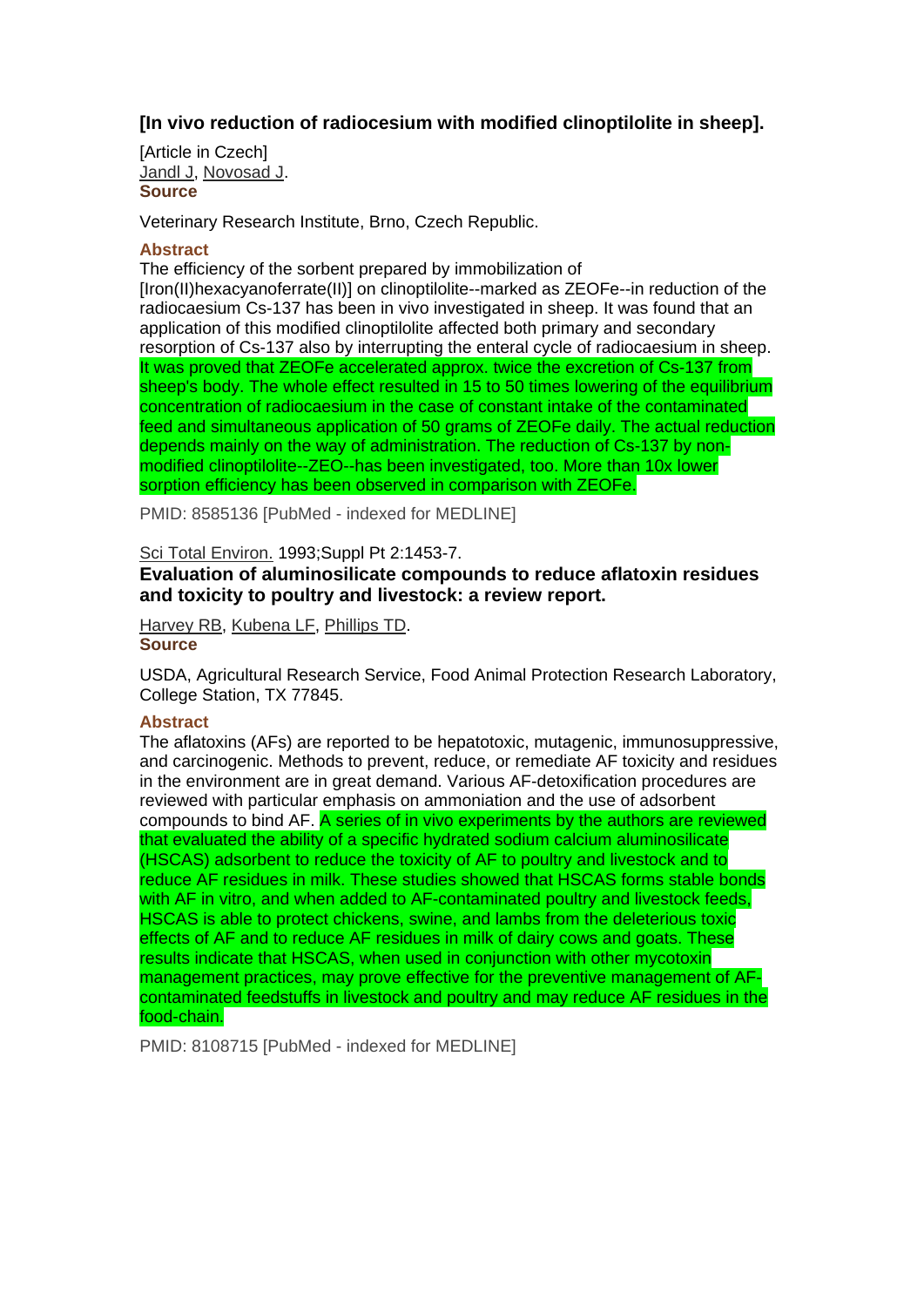# **[In vivo reduction of radiocesium with modified clinoptilolite in sheep].**

[Article in Czech] Jandl J, Novosad J. **Source** 

Veterinary Research Institute, Brno, Czech Republic.

#### **Abstract**

The efficiency of the sorbent prepared by immobilization of [Iron(II)hexacyanoferrate(II)] on clinoptilolite--marked as ZEOFe--in reduction of the radiocaesium Cs-137 has been in vivo investigated in sheep. It was found that an application of this modified clinoptilolite affected both primary and secondary resorption of Cs-137 also by interrupting the enteral cycle of radiocaesium in sheep. It was proved that ZEOFe accelerated approx. twice the excretion of Cs-137 from sheep's body. The whole effect resulted in 15 to 50 times lowering of the equilibrium concentration of radiocaesium in the case of constant intake of the contaminated feed and simultaneous application of 50 grams of ZEOFe daily. The actual reduction depends mainly on the way of administration. The reduction of Cs-137 by nonmodified clinoptilolite--ZEO--has been investigated, too. More than 10x lower sorption efficiency has been observed in comparison with ZEOFe.

PMID: 8585136 [PubMed - indexed for MEDLINE]

#### Sci Total Environ. 1993;Suppl Pt 2:1453-7.

# **Evaluation of aluminosilicate compounds to reduce aflatoxin residues and toxicity to poultry and livestock: a review report.**

Harvey RB, Kubena LF, Phillips TD. **Source** 

USDA, Agricultural Research Service, Food Animal Protection Research Laboratory, College Station, TX 77845.

#### **Abstract**

The aflatoxins (AFs) are reported to be hepatotoxic, mutagenic, immunosuppressive, and carcinogenic. Methods to prevent, reduce, or remediate AF toxicity and residues in the environment are in great demand. Various AF-detoxification procedures are reviewed with particular emphasis on ammoniation and the use of adsorbent compounds to bind AF. A series of in vivo experiments by the authors are reviewed that evaluated the ability of a specific hydrated sodium calcium aluminosilicate (HSCAS) adsorbent to reduce the toxicity of AF to poultry and livestock and to reduce AF residues in milk. These studies showed that HSCAS forms stable bonds with AF in vitro, and when added to AF-contaminated poultry and livestock feeds, HSCAS is able to protect chickens, swine, and lambs from the deleterious toxic effects of AF and to reduce AF residues in milk of dairy cows and goats. These results indicate that HSCAS, when used in conjunction with other mycotoxin management practices, may prove effective for the preventive management of AFcontaminated feedstuffs in livestock and poultry and may reduce AF residues in the food-chain.

PMID: 8108715 [PubMed - indexed for MEDLINE]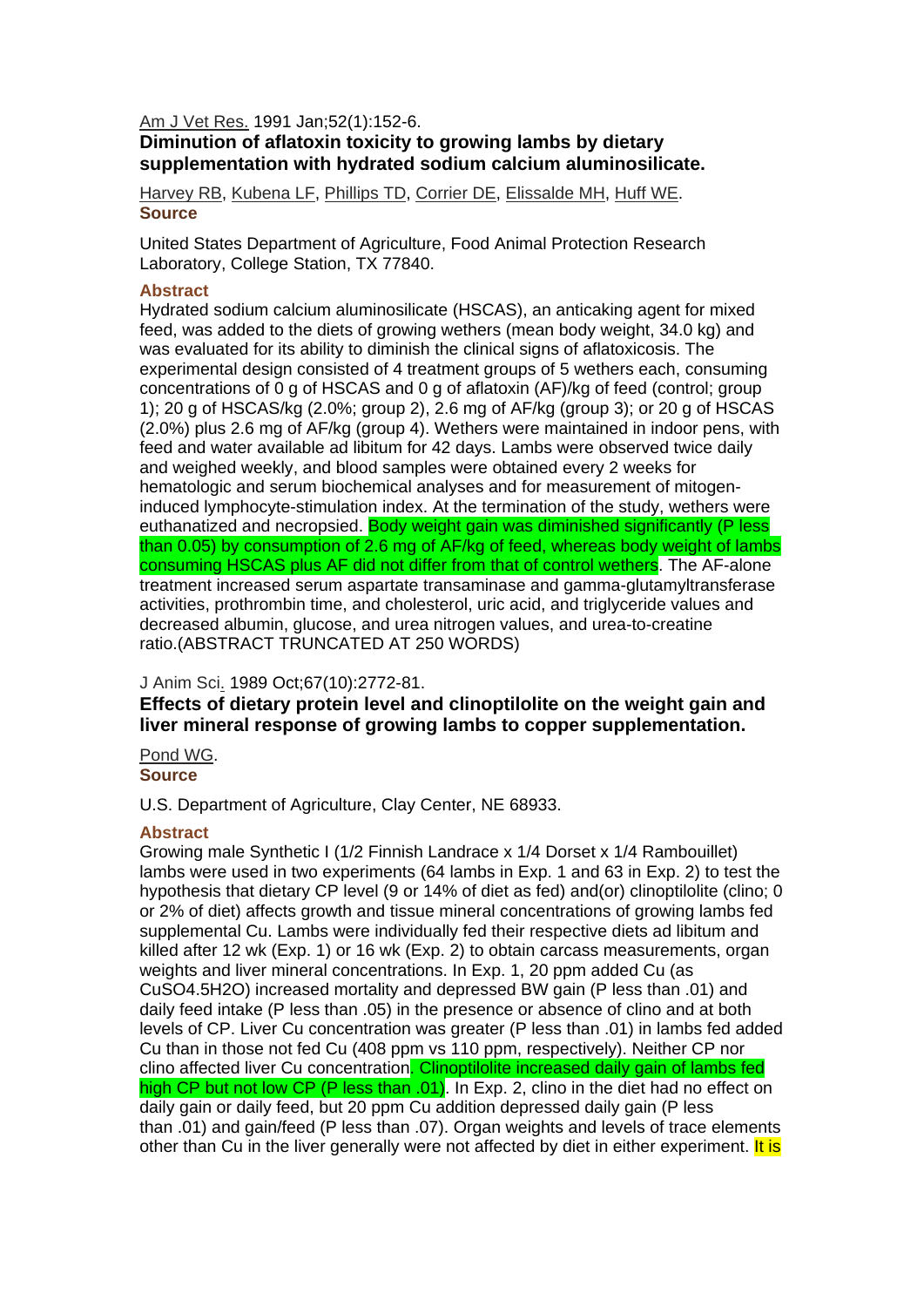#### Am J Vet Res. 1991 Jan;52(1):152-6.

# **Diminution of aflatoxin toxicity to growing lambs by dietary supplementation with hydrated sodium calcium aluminosilicate.**

Harvey RB, Kubena LF, Phillips TD, Corrier DE, Elissalde MH, Huff WE. **Source** 

United States Department of Agriculture, Food Animal Protection Research Laboratory, College Station, TX 77840.

#### **Abstract**

Hydrated sodium calcium aluminosilicate (HSCAS), an anticaking agent for mixed feed, was added to the diets of growing wethers (mean body weight, 34.0 kg) and was evaluated for its ability to diminish the clinical signs of aflatoxicosis. The experimental design consisted of 4 treatment groups of 5 wethers each, consuming concentrations of 0 g of HSCAS and 0 g of aflatoxin (AF)/kg of feed (control; group 1); 20 g of HSCAS/kg (2.0%; group 2), 2.6 mg of AF/kg (group 3); or 20 g of HSCAS (2.0%) plus 2.6 mg of AF/kg (group 4). Wethers were maintained in indoor pens, with feed and water available ad libitum for 42 days. Lambs were observed twice daily and weighed weekly, and blood samples were obtained every 2 weeks for hematologic and serum biochemical analyses and for measurement of mitogeninduced lymphocyte-stimulation index. At the termination of the study, wethers were euthanatized and necropsied. Body weight gain was diminished significantly (P less than 0.05) by consumption of 2.6 mg of AF/kg of feed, whereas body weight of lambs consuming HSCAS plus AF did not differ from that of control wethers. The AF-alone treatment increased serum aspartate transaminase and gamma-glutamyltransferase activities, prothrombin time, and cholesterol, uric acid, and triglyceride values and decreased albumin, glucose, and urea nitrogen values, and urea-to-creatine ratio.(ABSTRACT TRUNCATED AT 250 WORDS)

## J Anim Sci. 1989 Oct;67(10):2772-81.

**Effects of dietary protein level and clinoptilolite on the weight gain and liver mineral response of growing lambs to copper supplementation.** 

Pond WG. **Source** 

U.S. Department of Agriculture, Clay Center, NE 68933.

#### **Abstract**

Growing male Synthetic I (1/2 Finnish Landrace x 1/4 Dorset x 1/4 Rambouillet) lambs were used in two experiments (64 lambs in Exp. 1 and 63 in Exp. 2) to test the hypothesis that dietary CP level (9 or 14% of diet as fed) and(or) clinoptilolite (clino; 0 or 2% of diet) affects growth and tissue mineral concentrations of growing lambs fed supplemental Cu. Lambs were individually fed their respective diets ad libitum and killed after 12 wk (Exp. 1) or 16 wk (Exp. 2) to obtain carcass measurements, organ weights and liver mineral concentrations. In Exp. 1, 20 ppm added Cu (as CuSO4.5H2O) increased mortality and depressed BW gain (P less than .01) and daily feed intake (P less than .05) in the presence or absence of clino and at both levels of CP. Liver Cu concentration was greater (P less than .01) in lambs fed added Cu than in those not fed Cu (408 ppm vs 110 ppm, respectively). Neither CP nor clino affected liver Cu concentration. Clinoptilolite increased daily gain of lambs fed high CP but not low CP (P less than .01). In Exp. 2, clino in the diet had no effect on daily gain or daily feed, but 20 ppm Cu addition depressed daily gain (P less than .01) and gain/feed (P less than .07). Organ weights and levels of trace elements other than Cu in the liver generally were not affected by diet in either experiment. It is